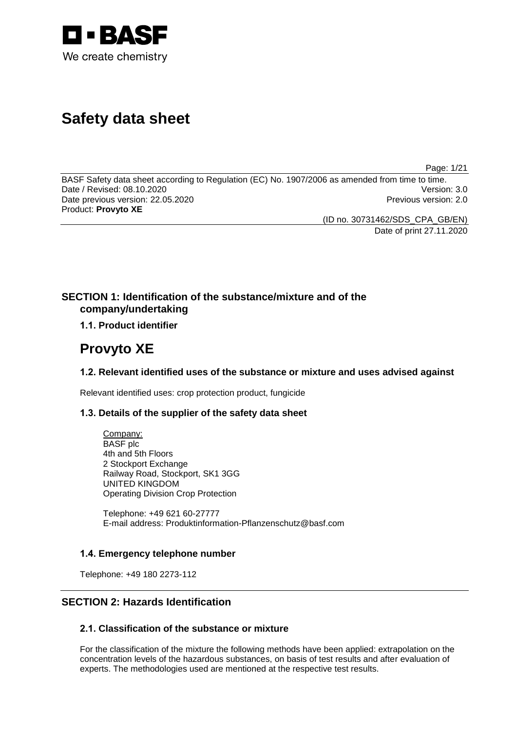

# **Safety data sheet**

Page: 1/21

BASF Safety data sheet according to Regulation (EC) No. 1907/2006 as amended from time to time.<br>Date / Revised: 08.10.2020 Date / Revised: 08.10.2020 Date previous version: 22.05.2020 **Previous version: 2.0** Previous version: 2.0 Product: **Provyto XE**

(ID no. 30731462/SDS\_CPA\_GB/EN) Date of print 27.11.2020

# **SECTION 1: Identification of the substance/mixture and of the company/undertaking**

# **1.1. Product identifier**

# **Provyto XE**

## **1.2. Relevant identified uses of the substance or mixture and uses advised against**

Relevant identified uses: crop protection product, fungicide

## **1.3. Details of the supplier of the safety data sheet**

Company: BASF plc 4th and 5th Floors 2 Stockport Exchange Railway Road, Stockport, SK1 3GG UNITED KINGDOM Operating Division Crop Protection

Telephone: +49 621 60-27777 E-mail address: Produktinformation-Pflanzenschutz@basf.com

## **1.4. Emergency telephone number**

Telephone: +49 180 2273-112

# **SECTION 2: Hazards Identification**

## **2.1. Classification of the substance or mixture**

For the classification of the mixture the following methods have been applied: extrapolation on the concentration levels of the hazardous substances, on basis of test results and after evaluation of experts. The methodologies used are mentioned at the respective test results.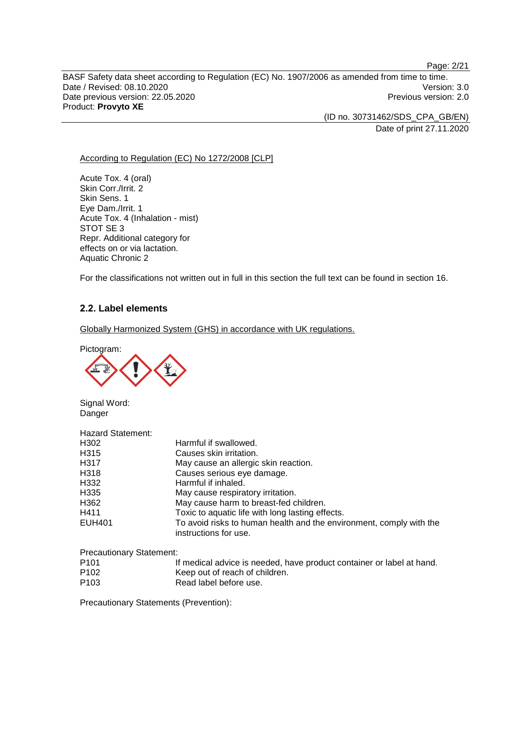Page: 2/21

BASF Safety data sheet according to Regulation (EC) No. 1907/2006 as amended from time to time. Date / Revised: 08.10.2020<br>
Date previous version: 22.05.2020<br>
Previous version: 22.05.2020 Date previous version: 22.05.2020 Product: **Provyto XE**

> (ID no. 30731462/SDS\_CPA\_GB/EN) Date of print 27.11.2020

According to Regulation (EC) No 1272/2008 [CLP]

Acute Tox. 4 (oral) Skin Corr./Irrit. 2 Skin Sens. 1 Eye Dam./Irrit. 1 Acute Tox. 4 (Inhalation - mist) STOT SE 3 Repr. Additional category for effects on or via lactation. Aquatic Chronic 2

For the classifications not written out in full in this section the full text can be found in section 16.

## **2.2. Label elements**

Globally Harmonized System (GHS) in accordance with UK regulations.

Pictogram:



Signal Word: **Danger** 

| <b>Hazard Statement:</b> |                                                                                              |
|--------------------------|----------------------------------------------------------------------------------------------|
| H302                     | Harmful if swallowed.                                                                        |
| H <sub>315</sub>         | Causes skin irritation.                                                                      |
| H317                     | May cause an allergic skin reaction.                                                         |
| H318                     | Causes serious eye damage.                                                                   |
| H332                     | Harmful if inhaled.                                                                          |
| H335                     | May cause respiratory irritation.                                                            |
| H362                     | May cause harm to breast-fed children.                                                       |
| H411                     | Toxic to aquatic life with long lasting effects.                                             |
| <b>EUH401</b>            | To avoid risks to human health and the environment, comply with the<br>instructions for use. |

Precautionary Statement:

| P <sub>101</sub> | If medical advice is needed, have product container or label at hand. |
|------------------|-----------------------------------------------------------------------|
| P <sub>102</sub> | Keep out of reach of children.                                        |
| P <sub>103</sub> | Read label before use.                                                |

Precautionary Statements (Prevention):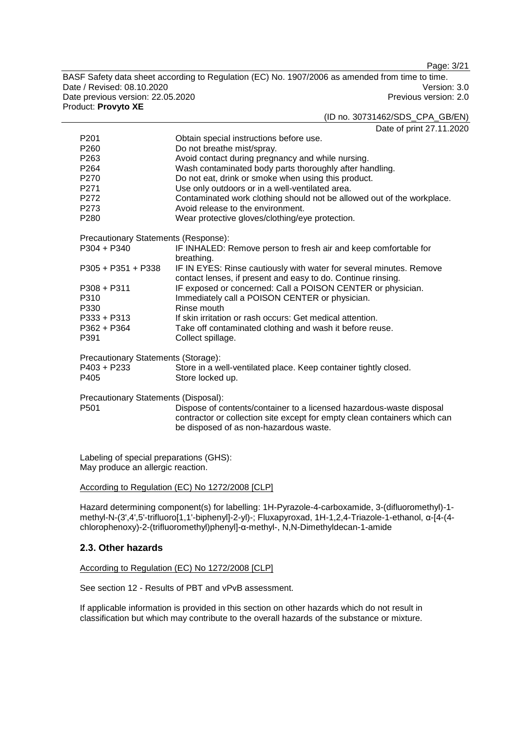Page: 3/21

BASF Safety data sheet according to Regulation (EC) No. 1907/2006 as amended from time to time. Date / Revised: 08.10.2020<br>
Date previous version: 22.05.2020<br>
Previous version: 22.05.2020 Date previous version: 22.05.2020 Product: **Provyto XE**

#### (ID no. 30731462/SDS\_CPA\_GB/EN)

Date of print 27.11.2020

|                                      | $V'$ PINIS $L'$ . $L'$ . $L$                                              |  |  |
|--------------------------------------|---------------------------------------------------------------------------|--|--|
| P <sub>201</sub>                     | Obtain special instructions before use.                                   |  |  |
| P <sub>260</sub>                     | Do not breathe mist/spray.                                                |  |  |
| P263                                 | Avoid contact during pregnancy and while nursing.                         |  |  |
| P <sub>264</sub>                     | Wash contaminated body parts thoroughly after handling.                   |  |  |
| P270                                 | Do not eat, drink or smoke when using this product.                       |  |  |
| P271                                 | Use only outdoors or in a well-ventilated area.                           |  |  |
| P272                                 | Contaminated work clothing should not be allowed out of the workplace.    |  |  |
| P273                                 | Avoid release to the environment.                                         |  |  |
| P280                                 | Wear protective gloves/clothing/eye protection.                           |  |  |
| Precautionary Statements (Response): |                                                                           |  |  |
| $P304 + P340$                        | IF INHALED: Remove person to fresh air and keep comfortable for           |  |  |
|                                      | breathing.                                                                |  |  |
| $P305 + P351 + P338$                 | IF IN EYES: Rinse cautiously with water for several minutes. Remove       |  |  |
|                                      | contact lenses, if present and easy to do. Continue rinsing.              |  |  |
| $P308 + P311$<br>P310                | IF exposed or concerned: Call a POISON CENTER or physician.               |  |  |
| P330                                 | Immediately call a POISON CENTER or physician.<br>Rinse mouth             |  |  |
|                                      |                                                                           |  |  |
| P333 + P313                          | If skin irritation or rash occurs: Get medical attention.                 |  |  |
| P362 + P364                          | Take off contaminated clothing and wash it before reuse.                  |  |  |
| P391                                 | Collect spillage.                                                         |  |  |
| Precautionary Statements (Storage):  |                                                                           |  |  |
| P403 + P233                          | Store in a well-ventilated place. Keep container tightly closed.          |  |  |
| P405                                 | Store locked up.                                                          |  |  |
| Precautionary Statements (Disposal): |                                                                           |  |  |
| P <sub>501</sub>                     | Dispose of contents/container to a licensed hazardous-waste disposal      |  |  |
|                                      | contractor or collection site except for empty clean containers which can |  |  |
|                                      | be disposed of as non-hazardous waste.                                    |  |  |
|                                      |                                                                           |  |  |

Labeling of special preparations (GHS): May produce an allergic reaction.

#### According to Regulation (EC) No 1272/2008 [CLP]

Hazard determining component(s) for labelling: 1H-Pyrazole-4-carboxamide, 3-(difluoromethyl)-1 methyl-N-(3',4',5'-trifluoro[1,1'-biphenyl]-2-yl)-; Fluxapyroxad, 1H-1,2,4-Triazole-1-ethanol, α-[4-(4 chlorophenoxy)-2-(trifluoromethyl)phenyl]-α-methyl-, N,N-Dimethyldecan-1-amide

## **2.3. Other hazards**

#### According to Regulation (EC) No 1272/2008 [CLP]

See section 12 - Results of PBT and vPvB assessment.

If applicable information is provided in this section on other hazards which do not result in classification but which may contribute to the overall hazards of the substance or mixture.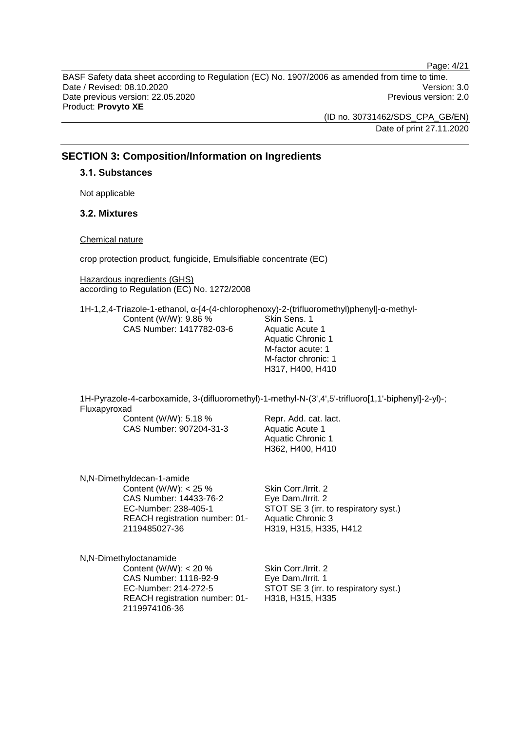Page: 4/21

BASF Safety data sheet according to Regulation (EC) No. 1907/2006 as amended from time to time. Date / Revised: 08.10.2020 Version: 3.0 Date previous version: 22.05.2020 **Previous version: 2.0** Previous version: 2.0 Product: **Provyto XE**

> (ID no. 30731462/SDS\_CPA\_GB/EN) Date of print 27.11.2020

## **SECTION 3: Composition/Information on Ingredients**

#### **3.1. Substances**

Not applicable

## **3.2. Mixtures**

#### Chemical nature

crop protection product, fungicide, Emulsifiable concentrate (EC)

Hazardous ingredients (GHS) according to Regulation (EC) No. 1272/2008

1H-1,2,4-Triazole-1-ethanol, α-[4-(4-chlorophenoxy)-2-(trifluoromethyl)phenyl]-α-methyl-Content (W/W): 9.86 % CAS Number: 1417782-03-6 Skin Sens. 1 Aquatic Acute 1 Aquatic Chronic 1 M-factor acute: 1 M-factor chronic: 1

1H-Pyrazole-4-carboxamide, 3-(difluoromethyl)-1-methyl-N-(3',4',5'-trifluoro[1,1'-biphenyl]-2-yl)-; Fluxapyroxad

Content (W/W): 5.18 % CAS Number: 907204-31-3

Repr. Add. cat. lact. Aquatic Acute 1 Aquatic Chronic 1 H362, H400, H410

H317, H400, H410

N,N-Dimethyldecan-1-amide Content (W/W):  $< 25 \%$ CAS Number: 14433-76-2 EC-Number: 238-405-1 REACH registration number: 01- 2119485027-36

Skin Corr./Irrit. 2 Eye Dam./Irrit. 2 STOT SE 3 (irr. to respiratory syst.) Aquatic Chronic 3 H319, H315, H335, H412

N,N-Dimethyloctanamide Content (W/W):  $<$  20 % CAS Number: 1118-92-9 EC-Number: 214-272-5 REACH registration number: 01- 2119974106-36

Skin Corr./Irrit. 2 Eye Dam./Irrit. 1 STOT SE 3 (irr. to respiratory syst.) H318, H315, H335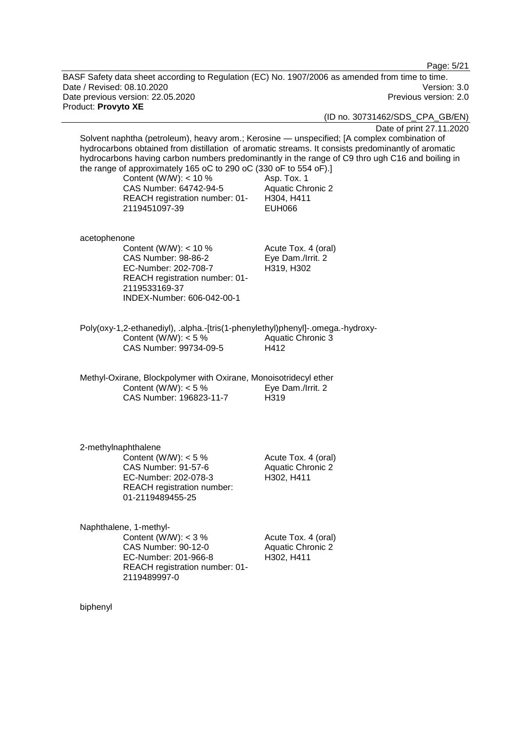Page: 5/21

BASF Safety data sheet according to Regulation (EC) No. 1907/2006 as amended from time to time. Date / Revised: 08.10.2020 Version: 3.0 Date previous version: 22.05.2020 **Previous version: 2.0** Previous version: 2.0 Product: **Provyto XE**

(ID no. 30731462/SDS\_CPA\_GB/EN)

Date of print 27.11.2020 Solvent naphtha (petroleum), heavy arom.; Kerosine — unspecified; [A complex combination of hydrocarbons obtained from distillation of aromatic streams. It consists predominantly of aromatic hydrocarbons having carbon numbers predominantly in the range of C9 thro ugh C16 and boiling in the range of approximately 165 oC to 290 oC (330 oF to 554 oF).] Content (W/W):  $<$  10 % CAS Number: 64742-94-5 REACH registration number: 01- 2119451097-39 Asp. Tox. 1 Aquatic Chronic 2 H304, H411 EUH066 acetophenone Content (W/W): < 10 % CAS Number: 98-86-2 EC-Number: 202-708-7 REACH registration number: 01- 2119533169-37 INDEX-Number: 606-042-00-1 Acute Tox. 4 (oral) Eye Dam./Irrit. 2 H319, H302 Poly(oxy-1,2-ethanediyl), .alpha.-[tris(1-phenylethyl)phenyl]-.omega.-hydroxy-Content (W/W):  $< 5 \%$ CAS Number: 99734-09-5 Aquatic Chronic 3 H412 Methyl-Oxirane, Blockpolymer with Oxirane, Monoisotridecyl ether Content (W/W):  $< 5 \%$ CAS Number: 196823-11-7 Eye Dam./Irrit. 2 H319 2-methylnaphthalene Content (W/W):  $< 5 \%$ CAS Number: 91-57-6 EC-Number: 202-078-3 REACH registration number: 01-2119489455-25 Acute Tox. 4 (oral) Aquatic Chronic 2 H302, H411 Naphthalene, 1-methyl-Content (W/W):  $<$  3 % CAS Number: 90-12-0 EC-Number: 201-966-8 REACH registration number: 01- 2119489997-0 Acute Tox. 4 (oral) Aquatic Chronic 2 H302, H411

biphenyl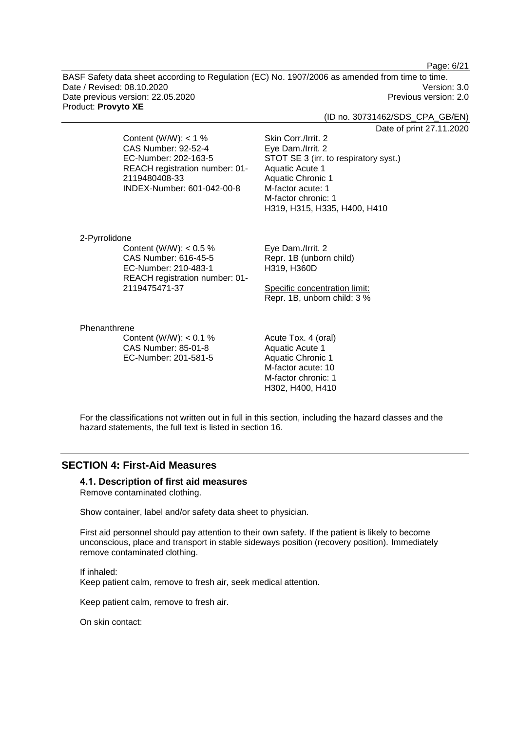Page: 6/21

BASF Safety data sheet according to Regulation (EC) No. 1907/2006 as amended from time to time. Date / Revised: 08.10.2020 Version: 3.0 Date previous version: 22.05.2020 **Previous version: 2.0** Previous version: 2.0 Product: **Provyto XE**

(ID no. 30731462/SDS\_CPA\_GB/EN)

Date of print 27.11.2020

Content (W/W):  $<$  1 % CAS Number: 92-52-4 EC-Number: 202-163-5 REACH registration number: 01- 2119480408-33 INDEX-Number: 601-042-00-8

Eye Dam./Irrit. 2 STOT SE 3 (irr. to respiratory syst.) Aquatic Acute 1 Aquatic Chronic 1 M-factor acute: 1 M-factor chronic: 1 H319, H315, H335, H400, H410

2-Pyrrolidone Content (W/W):  $< 0.5$  % CAS Number: 616-45-5 EC-Number: 210-483-1 REACH registration number: 01- 2119475471-37

Eye Dam./Irrit. 2 Repr. 1B (unborn child) H319, H360D

Skin Corr./Irrit. 2

Specific concentration limit: Repr. 1B, unborn child: 3 %

#### Phenanthrene

Content (W/W):  $< 0.1$  % CAS Number: 85-01-8 EC-Number: 201-581-5

Acute Tox. 4 (oral) Aquatic Acute 1 Aquatic Chronic 1 M-factor acute: 10 M-factor chronic: 1 H302, H400, H410

For the classifications not written out in full in this section, including the hazard classes and the hazard statements, the full text is listed in section 16.

## **SECTION 4: First-Aid Measures**

#### **4.1. Description of first aid measures** Remove contaminated clothing.

Show container, label and/or safety data sheet to physician.

First aid personnel should pay attention to their own safety. If the patient is likely to become unconscious, place and transport in stable sideways position (recovery position). Immediately remove contaminated clothing.

If inhaled: Keep patient calm, remove to fresh air, seek medical attention.

Keep patient calm, remove to fresh air.

On skin contact: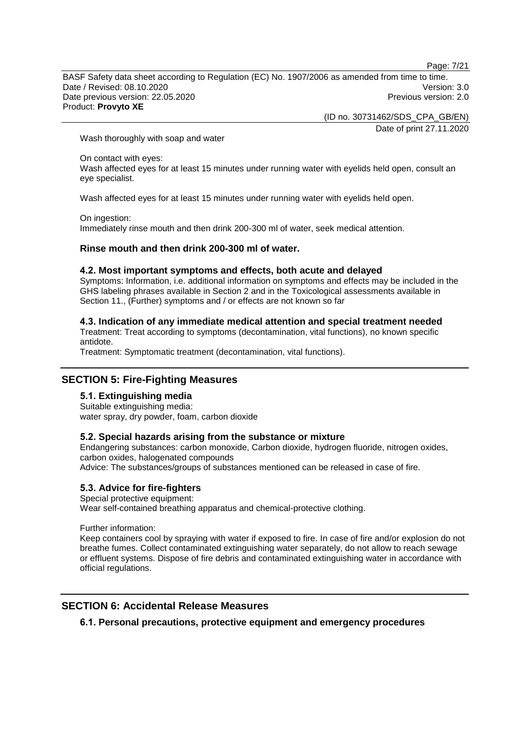Page: 7/21

BASF Safety data sheet according to Regulation (EC) No. 1907/2006 as amended from time to time. Date / Revised: 08.10.2020 Version: 3.0 Date previous version: 22.05.2020 Previous version: 2.0 Product: **Provyto XE**

(ID no. 30731462/SDS\_CPA\_GB/EN)

Date of print 27.11.2020

Wash thoroughly with soap and water

On contact with eyes:

Wash affected eyes for at least 15 minutes under running water with eyelids held open, consult an eye specialist.

Wash affected eyes for at least 15 minutes under running water with eyelids held open.

On ingestion:

Immediately rinse mouth and then drink 200-300 ml of water, seek medical attention.

#### **Rinse mouth and then drink 200-300 ml of water.**

#### **4.2. Most important symptoms and effects, both acute and delayed**

Symptoms: Information, i.e. additional information on symptoms and effects may be included in the GHS labeling phrases available in Section 2 and in the Toxicological assessments available in Section 11., (Further) symptoms and / or effects are not known so far

#### **4.3. Indication of any immediate medical attention and special treatment needed**

Treatment: Treat according to symptoms (decontamination, vital functions), no known specific antidote.

Treatment: Symptomatic treatment (decontamination, vital functions).

## **SECTION 5: Fire-Fighting Measures**

**5.1. Extinguishing media** Suitable extinguishing media:

water spray, dry powder, foam, carbon dioxide

#### **5.2. Special hazards arising from the substance or mixture**

Endangering substances: carbon monoxide, Carbon dioxide, hydrogen fluoride, nitrogen oxides, carbon oxides, halogenated compounds Advice: The substances/groups of substances mentioned can be released in case of fire.

**5.3. Advice for fire-fighters**

# Special protective equipment:

Wear self-contained breathing apparatus and chemical-protective clothing.

Further information:

Keep containers cool by spraying with water if exposed to fire. In case of fire and/or explosion do not breathe fumes. Collect contaminated extinguishing water separately, do not allow to reach sewage or effluent systems. Dispose of fire debris and contaminated extinguishing water in accordance with official regulations.

## **SECTION 6: Accidental Release Measures**

**6.1. Personal precautions, protective equipment and emergency procedures**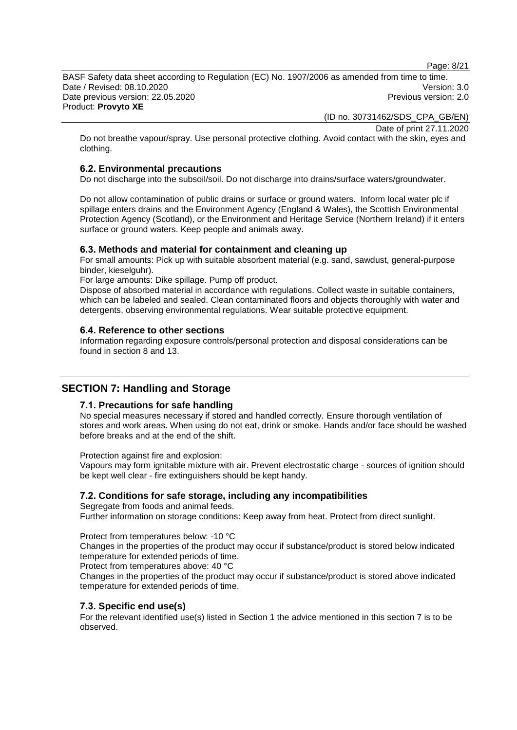Page: 8/21

BASF Safety data sheet according to Regulation (EC) No. 1907/2006 as amended from time to time. Date / Revised: 08.10.2020 Version: 3.0 Date previous version: 22.05.2020 Previous version: 2.0 Product: **Provyto XE**

(ID no. 30731462/SDS\_CPA\_GB/EN)

Date of print 27.11.2020

Do not breathe vapour/spray. Use personal protective clothing. Avoid contact with the skin, eyes and clothing.

#### **6.2. Environmental precautions**

Do not discharge into the subsoil/soil. Do not discharge into drains/surface waters/groundwater.

Do not allow contamination of public drains or surface or ground waters. Inform local water plc if spillage enters drains and the Environment Agency (England & Wales), the Scottish Environmental Protection Agency (Scotland), or the Environment and Heritage Service (Northern Ireland) if it enters surface or ground waters. Keep people and animals away.

#### **6.3. Methods and material for containment and cleaning up**

For small amounts: Pick up with suitable absorbent material (e.g. sand, sawdust, general-purpose binder, kieselguhr).

For large amounts: Dike spillage. Pump off product.

Dispose of absorbed material in accordance with regulations. Collect waste in suitable containers, which can be labeled and sealed. Clean contaminated floors and objects thoroughly with water and detergents, observing environmental regulations. Wear suitable protective equipment.

#### **6.4. Reference to other sections**

Information regarding exposure controls/personal protection and disposal considerations can be found in section 8 and 13.

## **SECTION 7: Handling and Storage**

#### **7.1. Precautions for safe handling**

No special measures necessary if stored and handled correctly. Ensure thorough ventilation of stores and work areas. When using do not eat, drink or smoke. Hands and/or face should be washed before breaks and at the end of the shift.

Protection against fire and explosion:

Vapours may form ignitable mixture with air. Prevent electrostatic charge - sources of ignition should be kept well clear - fire extinguishers should be kept handy.

#### **7.2. Conditions for safe storage, including any incompatibilities**

Segregate from foods and animal feeds.

Further information on storage conditions: Keep away from heat. Protect from direct sunlight.

Protect from temperatures below: -10 °C

Changes in the properties of the product may occur if substance/product is stored below indicated temperature for extended periods of time.

Protect from temperatures above: 40 °C

Changes in the properties of the product may occur if substance/product is stored above indicated temperature for extended periods of time.

#### **7.3. Specific end use(s)**

For the relevant identified use(s) listed in Section 1 the advice mentioned in this section 7 is to be observed.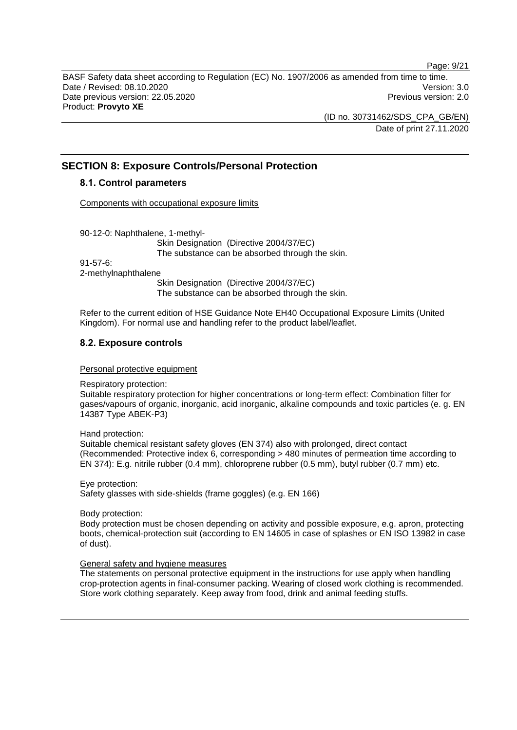Page: 9/21

BASF Safety data sheet according to Regulation (EC) No. 1907/2006 as amended from time to time. Date / Revised: 08.10.2020 Version: 3.0 Date previous version: 22.05.2020 **Previous version: 2.0** Previous version: 2.0 Product: **Provyto XE**

> (ID no. 30731462/SDS\_CPA\_GB/EN) Date of print 27.11.2020

# **SECTION 8: Exposure Controls/Personal Protection**

## **8.1. Control parameters**

Components with occupational exposure limits

90-12-0: Naphthalene, 1-methyl-

Skin Designation (Directive 2004/37/EC) The substance can be absorbed through the skin.

91-57-6:

2-methylnaphthalene

Skin Designation (Directive 2004/37/EC) The substance can be absorbed through the skin.

Refer to the current edition of HSE Guidance Note EH40 Occupational Exposure Limits (United Kingdom). For normal use and handling refer to the product label/leaflet.

## **8.2. Exposure controls**

Personal protective equipment

Respiratory protection:

Suitable respiratory protection for higher concentrations or long-term effect: Combination filter for gases/vapours of organic, inorganic, acid inorganic, alkaline compounds and toxic particles (e. g. EN 14387 Type ABEK-P3)

Hand protection:

Suitable chemical resistant safety gloves (EN 374) also with prolonged, direct contact (Recommended: Protective index 6, corresponding > 480 minutes of permeation time according to EN 374): E.g. nitrile rubber (0.4 mm), chloroprene rubber (0.5 mm), butyl rubber (0.7 mm) etc.

Eye protection: Safety glasses with side-shields (frame goggles) (e.g. EN 166)

Body protection:

Body protection must be chosen depending on activity and possible exposure, e.g. apron, protecting boots, chemical-protection suit (according to EN 14605 in case of splashes or EN ISO 13982 in case of dust).

## General safety and hygiene measures

The statements on personal protective equipment in the instructions for use apply when handling crop-protection agents in final-consumer packing. Wearing of closed work clothing is recommended. Store work clothing separately. Keep away from food, drink and animal feeding stuffs.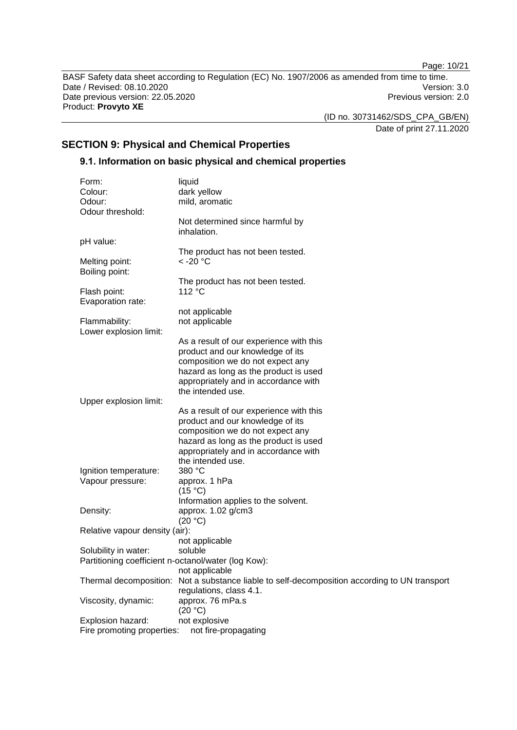Page: 10/21

BASF Safety data sheet according to Regulation (EC) No. 1907/2006 as amended from time to time. Date / Revised: 08.10.2020<br>
Date previous version: 22.05.2020<br>
Previous version: 22.05.2020 Date previous version: 22.05.2020 Product: **Provyto XE**

(ID no. 30731462/SDS\_CPA\_GB/EN)

Date of print 27.11.2020

# **SECTION 9: Physical and Chemical Properties**

## **9.1. Information on basic physical and chemical properties**

|        | Form:                                               | liquid                                                                 |
|--------|-----------------------------------------------------|------------------------------------------------------------------------|
|        | Colour:                                             | dark yellow                                                            |
| Odour: |                                                     | mild, aromatic                                                         |
|        | Odour threshold:                                    |                                                                        |
|        |                                                     | Not determined since harmful by<br>inhalation.                         |
|        | pH value:                                           |                                                                        |
|        |                                                     | The product has not been tested.                                       |
|        | Melting point:                                      | $<$ -20 $^{\circ}$ C                                                   |
|        | Boiling point:                                      |                                                                        |
|        |                                                     | The product has not been tested.                                       |
|        | Flash point:                                        | 112 °C                                                                 |
|        | Evaporation rate:                                   |                                                                        |
|        |                                                     | not applicable                                                         |
|        | Flammability:                                       | not applicable                                                         |
|        | Lower explosion limit:                              |                                                                        |
|        |                                                     | As a result of our experience with this                                |
|        |                                                     | product and our knowledge of its                                       |
|        |                                                     | composition we do not expect any                                       |
|        |                                                     | hazard as long as the product is used                                  |
|        |                                                     | appropriately and in accordance with                                   |
|        |                                                     | the intended use.                                                      |
|        | Upper explosion limit:                              |                                                                        |
|        |                                                     | As a result of our experience with this                                |
|        |                                                     | product and our knowledge of its                                       |
|        |                                                     | composition we do not expect any                                       |
|        |                                                     | hazard as long as the product is used                                  |
|        |                                                     | appropriately and in accordance with                                   |
|        |                                                     | the intended use.                                                      |
|        | Ignition temperature:                               | 380 °C                                                                 |
|        | Vapour pressure:                                    | approx. 1 hPa                                                          |
|        |                                                     | (15 °C)                                                                |
|        |                                                     | Information applies to the solvent.                                    |
|        | Density:                                            | approx. 1.02 g/cm3                                                     |
|        |                                                     | (20 °C)                                                                |
|        | Relative vapour density (air):                      |                                                                        |
|        |                                                     | not applicable                                                         |
|        | Solubility in water:                                | soluble                                                                |
|        | Partitioning coefficient n-octanol/water (log Kow): |                                                                        |
|        |                                                     | not applicable                                                         |
|        | Thermal decomposition:                              | Not a substance liable to self-decomposition according to UN transport |
|        |                                                     | regulations, class 4.1.                                                |
|        | Viscosity, dynamic:                                 | approx. 76 mPa.s                                                       |
|        |                                                     | (20 °C)                                                                |
|        | Explosion hazard:                                   | not explosive                                                          |
|        | Fire promoting properties:                          | not fire-propagating                                                   |
|        |                                                     |                                                                        |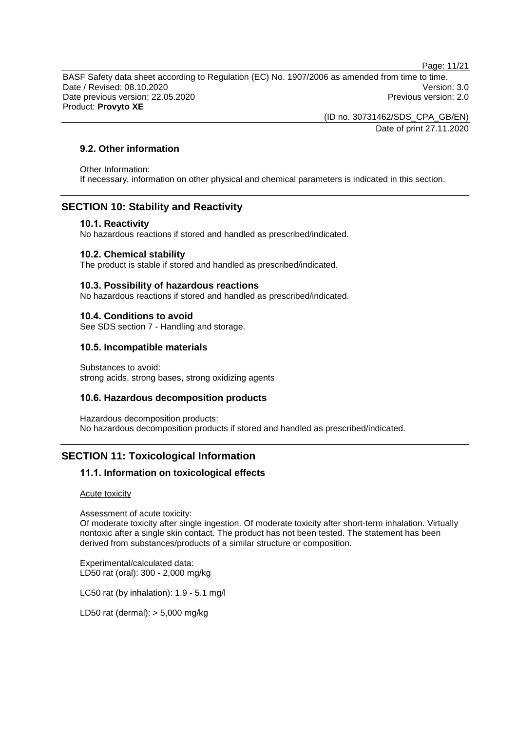Page: 11/21

BASF Safety data sheet according to Regulation (EC) No. 1907/2006 as amended from time to time. Date / Revised: 08.10.2020 Version: 3.0 Date previous version: 22.05.2020 **Previous version: 2.0** Previous version: 2.0 Product: **Provyto XE**

(ID no. 30731462/SDS\_CPA\_GB/EN)

Date of print 27.11.2020

## **9.2. Other information**

Other Information: If necessary, information on other physical and chemical parameters is indicated in this section.

# **SECTION 10: Stability and Reactivity**

## **10.1. Reactivity**

No hazardous reactions if stored and handled as prescribed/indicated.

## **10.2. Chemical stability**

The product is stable if stored and handled as prescribed/indicated.

## **10.3. Possibility of hazardous reactions**

No hazardous reactions if stored and handled as prescribed/indicated.

## **10.4. Conditions to avoid**

See SDS section 7 - Handling and storage.

## **10.5. Incompatible materials**

Substances to avoid: strong acids, strong bases, strong oxidizing agents

## **10.6. Hazardous decomposition products**

Hazardous decomposition products: No hazardous decomposition products if stored and handled as prescribed/indicated.

# **SECTION 11: Toxicological Information**

## **11.1. Information on toxicological effects**

Acute toxicity

Assessment of acute toxicity:

Of moderate toxicity after single ingestion. Of moderate toxicity after short-term inhalation. Virtually nontoxic after a single skin contact. The product has not been tested. The statement has been derived from substances/products of a similar structure or composition.

Experimental/calculated data: LD50 rat (oral): 300 - 2,000 mg/kg

LC50 rat (by inhalation): 1.9 - 5.1 mg/l

LD50 rat (dermal): > 5,000 mg/kg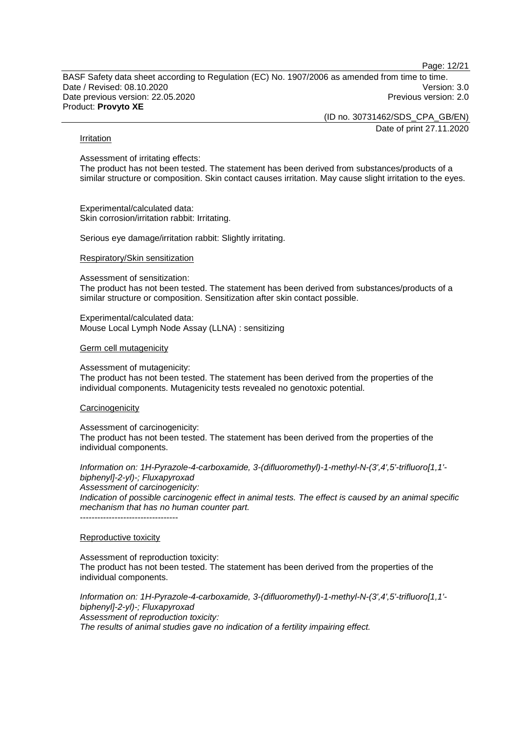Page: 12/21

BASF Safety data sheet according to Regulation (EC) No. 1907/2006 as amended from time to time. Date / Revised: 08.10.2020 Version: 3.0 Date previous version: 22.05.2020 **Previous version: 2.0** Previous version: 2.0 Product: **Provyto XE**

(ID no. 30731462/SDS\_CPA\_GB/EN)

Date of print 27.11.2020

#### Irritation

Assessment of irritating effects:

The product has not been tested. The statement has been derived from substances/products of a similar structure or composition. Skin contact causes irritation. May cause slight irritation to the eyes.

Experimental/calculated data: Skin corrosion/irritation rabbit: Irritating.

Serious eye damage/irritation rabbit: Slightly irritating.

Respiratory/Skin sensitization

Assessment of sensitization:

The product has not been tested. The statement has been derived from substances/products of a similar structure or composition. Sensitization after skin contact possible.

Experimental/calculated data: Mouse Local Lymph Node Assay (LLNA) : sensitizing

#### Germ cell mutagenicity

Assessment of mutagenicity:

The product has not been tested. The statement has been derived from the properties of the individual components. Mutagenicity tests revealed no genotoxic potential.

#### **Carcinogenicity**

Assessment of carcinogenicity: The product has not been tested. The statement has been derived from the properties of the individual components.

*Information on: 1H-Pyrazole-4-carboxamide, 3-(difluoromethyl)-1-methyl-N-(3',4',5'-trifluoro[1,1' biphenyl]-2-yl)-; Fluxapyroxad Assessment of carcinogenicity:*

*Indication of possible carcinogenic effect in animal tests. The effect is caused by an animal specific mechanism that has no human counter part.*

----------------------------------

#### Reproductive toxicity

Assessment of reproduction toxicity: The product has not been tested. The statement has been derived from the properties of the individual components.

*Information on: 1H-Pyrazole-4-carboxamide, 3-(difluoromethyl)-1-methyl-N-(3',4',5'-trifluoro[1,1' biphenyl]-2-yl)-; Fluxapyroxad Assessment of reproduction toxicity: The results of animal studies gave no indication of a fertility impairing effect.*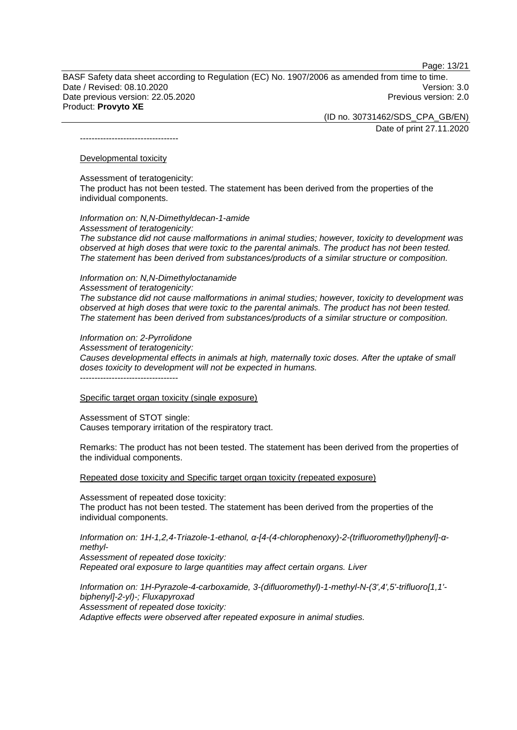Page: 13/21

BASF Safety data sheet according to Regulation (EC) No. 1907/2006 as amended from time to time. Date / Revised: 08.10.2020 Version: 3.0 Date previous version: 22.05.2020 Previous version: 2.0 Product: **Provyto XE**

> (ID no. 30731462/SDS\_CPA\_GB/EN) Date of print 27.11.2020

----------------------------------

#### Developmental toxicity

Assessment of teratogenicity:

The product has not been tested. The statement has been derived from the properties of the individual components.

*Information on: N,N-Dimethyldecan-1-amide Assessment of teratogenicity: The substance did not cause malformations in animal studies; however, toxicity to development was observed at high doses that were toxic to the parental animals. The product has not been tested. The statement has been derived from substances/products of a similar structure or composition.*

*Information on: N,N-Dimethyloctanamide*

*Assessment of teratogenicity:*

*The substance did not cause malformations in animal studies; however, toxicity to development was observed at high doses that were toxic to the parental animals. The product has not been tested. The statement has been derived from substances/products of a similar structure or composition.*

*Information on: 2-Pyrrolidone*

*Assessment of teratogenicity:*

*Causes developmental effects in animals at high, maternally toxic doses. After the uptake of small doses toxicity to development will not be expected in humans.*

----------------------------------

Specific target organ toxicity (single exposure)

Assessment of STOT single: Causes temporary irritation of the respiratory tract.

Remarks: The product has not been tested. The statement has been derived from the properties of the individual components.

Repeated dose toxicity and Specific target organ toxicity (repeated exposure)

Assessment of repeated dose toxicity: The product has not been tested. The statement has been derived from the properties of the individual components.

*Information on: 1H-1,2,4-Triazole-1-ethanol, α-[4-(4-chlorophenoxy)-2-(trifluoromethyl)phenyl]-αmethyl-*

*Assessment of repeated dose toxicity: Repeated oral exposure to large quantities may affect certain organs. Liver*

*Information on: 1H-Pyrazole-4-carboxamide, 3-(difluoromethyl)-1-methyl-N-(3',4',5'-trifluoro[1,1' biphenyl]-2-yl)-; Fluxapyroxad Assessment of repeated dose toxicity: Adaptive effects were observed after repeated exposure in animal studies.*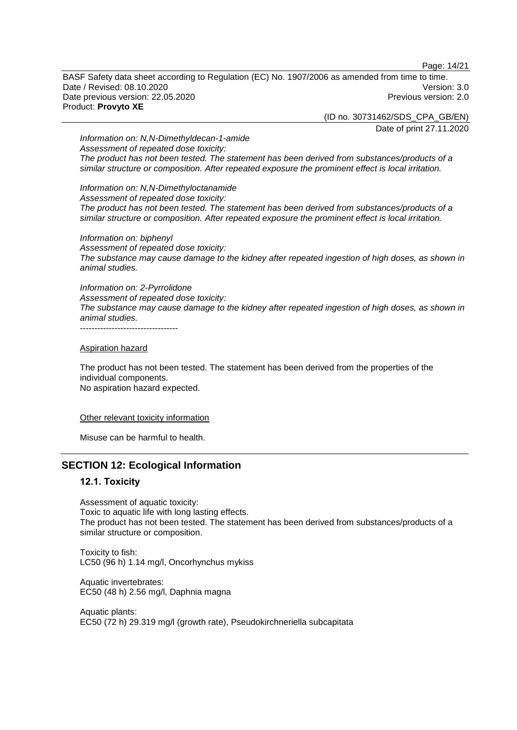Page: 14/21

BASF Safety data sheet according to Regulation (EC) No. 1907/2006 as amended from time to time. Date / Revised: 08.10.2020 Version: 3.0 Date previous version: 22.05.2020 Previous version: 2.0 Product: **Provyto XE**

(ID no. 30731462/SDS\_CPA\_GB/EN)

Date of print 27.11.2020

*Information on: N,N-Dimethyldecan-1-amide Assessment of repeated dose toxicity: The product has not been tested. The statement has been derived from substances/products of a similar structure or composition. After repeated exposure the prominent effect is local irritation.*

*Information on: N,N-Dimethyloctanamide Assessment of repeated dose toxicity: The product has not been tested. The statement has been derived from substances/products of a similar structure or composition. After repeated exposure the prominent effect is local irritation.*

*Information on: biphenyl Assessment of repeated dose toxicity: The substance may cause damage to the kidney after repeated ingestion of high doses, as shown in animal studies.*

*Information on: 2-Pyrrolidone Assessment of repeated dose toxicity: The substance may cause damage to the kidney after repeated ingestion of high doses, as shown in animal studies.* ----------------------------------

Aspiration hazard

The product has not been tested. The statement has been derived from the properties of the individual components. No aspiration hazard expected.

Other relevant toxicity information

Misuse can be harmful to health.

## **SECTION 12: Ecological Information**

#### **12.1. Toxicity**

Assessment of aquatic toxicity: Toxic to aquatic life with long lasting effects. The product has not been tested. The statement has been derived from substances/products of a similar structure or composition.

Toxicity to fish: LC50 (96 h) 1.14 mg/l, Oncorhynchus mykiss

Aquatic invertebrates: EC50 (48 h) 2.56 mg/l, Daphnia magna

Aquatic plants: EC50 (72 h) 29.319 mg/l (growth rate), Pseudokirchneriella subcapitata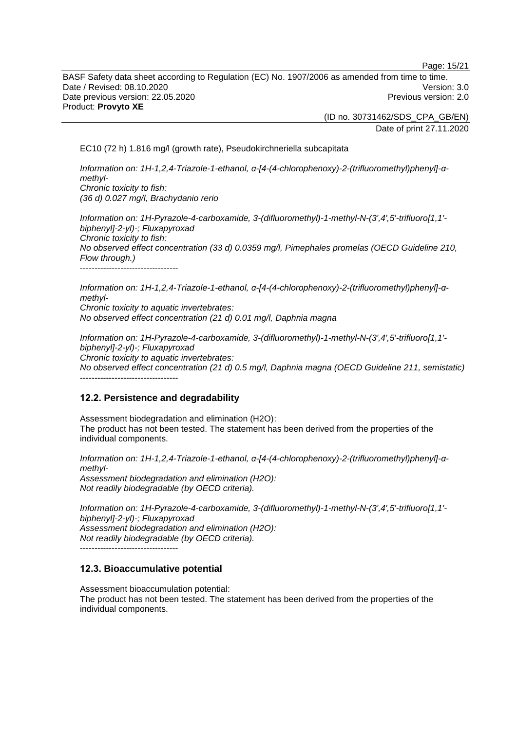Page: 15/21

BASF Safety data sheet according to Regulation (EC) No. 1907/2006 as amended from time to time. Date / Revised: 08.10.2020 Version: 3.0 Date previous version: 22.05.2020 **Previous version: 2.0** Previous version: 2.0 Product: **Provyto XE**

> (ID no. 30731462/SDS\_CPA\_GB/EN) Date of print 27.11.2020

EC10 (72 h) 1.816 mg/l (growth rate), Pseudokirchneriella subcapitata

*Information on: 1H-1,2,4-Triazole-1-ethanol, α-[4-(4-chlorophenoxy)-2-(trifluoromethyl)phenyl]-αmethyl-Chronic toxicity to fish: (36 d) 0.027 mg/l, Brachydanio rerio*

*Information on: 1H-Pyrazole-4-carboxamide, 3-(difluoromethyl)-1-methyl-N-(3',4',5'-trifluoro[1,1' biphenyl]-2-yl)-; Fluxapyroxad Chronic toxicity to fish: No observed effect concentration (33 d) 0.0359 mg/l, Pimephales promelas (OECD Guideline 210, Flow through.)* ----------------------------------

*Information on: 1H-1,2,4-Triazole-1-ethanol, α-[4-(4-chlorophenoxy)-2-(trifluoromethyl)phenyl]-αmethyl-Chronic toxicity to aquatic invertebrates: No observed effect concentration (21 d) 0.01 mg/l, Daphnia magna*

*Information on: 1H-Pyrazole-4-carboxamide, 3-(difluoromethyl)-1-methyl-N-(3',4',5'-trifluoro[1,1' biphenyl]-2-yl)-; Fluxapyroxad Chronic toxicity to aquatic invertebrates: No observed effect concentration (21 d) 0.5 mg/l, Daphnia magna (OECD Guideline 211, semistatic)* ----------------------------------

## **12.2. Persistence and degradability**

Assessment biodegradation and elimination (H2O): The product has not been tested. The statement has been derived from the properties of the individual components.

*Information on: 1H-1,2,4-Triazole-1-ethanol, α-[4-(4-chlorophenoxy)-2-(trifluoromethyl)phenyl]-αmethyl-Assessment biodegradation and elimination (H2O):*

*Not readily biodegradable (by OECD criteria).*

*Information on: 1H-Pyrazole-4-carboxamide, 3-(difluoromethyl)-1-methyl-N-(3',4',5'-trifluoro[1,1' biphenyl]-2-yl)-; Fluxapyroxad Assessment biodegradation and elimination (H2O): Not readily biodegradable (by OECD criteria).*

----------------------------------

## **12.3. Bioaccumulative potential**

Assessment bioaccumulation potential:

The product has not been tested. The statement has been derived from the properties of the individual components.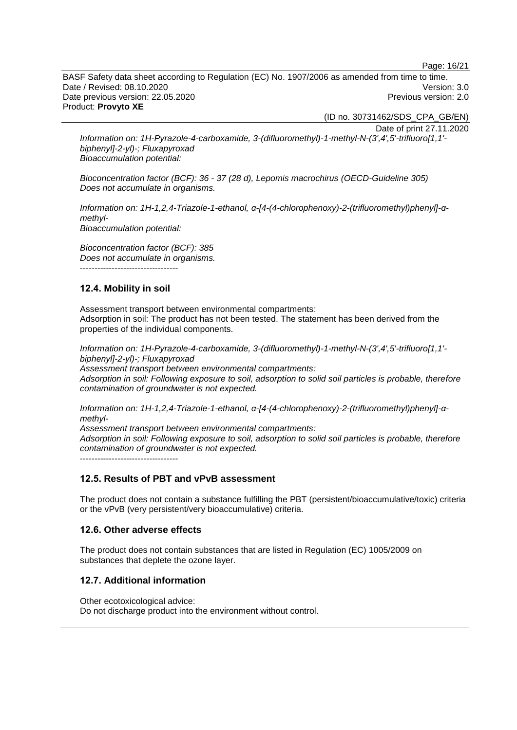Page: 16/21

BASF Safety data sheet according to Regulation (EC) No. 1907/2006 as amended from time to time. Date / Revised: 08.10.2020 Version: 3.0 Date previous version: 22.05.2020 **Previous version: 2.0** Previous version: 2.0 Product: **Provyto XE**

(ID no. 30731462/SDS\_CPA\_GB/EN)

Date of print 27.11.2020

*Information on: 1H-Pyrazole-4-carboxamide, 3-(difluoromethyl)-1-methyl-N-(3',4',5'-trifluoro[1,1' biphenyl]-2-yl)-; Fluxapyroxad Bioaccumulation potential:*

*Bioconcentration factor (BCF): 36 - 37 (28 d), Lepomis macrochirus (OECD-Guideline 305) Does not accumulate in organisms.*

*Information on: 1H-1,2,4-Triazole-1-ethanol, α-[4-(4-chlorophenoxy)-2-(trifluoromethyl)phenyl]-αmethyl-Bioaccumulation potential:*

*Bioconcentration factor (BCF): 385 Does not accumulate in organisms.*

----------------------------------

## **12.4. Mobility in soil**

Assessment transport between environmental compartments: Adsorption in soil: The product has not been tested. The statement has been derived from the properties of the individual components.

*Information on: 1H-Pyrazole-4-carboxamide, 3-(difluoromethyl)-1-methyl-N-(3',4',5'-trifluoro[1,1' biphenyl]-2-yl)-; Fluxapyroxad Assessment transport between environmental compartments:*

*Adsorption in soil: Following exposure to soil, adsorption to solid soil particles is probable, therefore contamination of groundwater is not expected.*

*Information on: 1H-1,2,4-Triazole-1-ethanol, α-[4-(4-chlorophenoxy)-2-(trifluoromethyl)phenyl]-αmethyl-*

*Assessment transport between environmental compartments: Adsorption in soil: Following exposure to soil, adsorption to solid soil particles is probable, therefore contamination of groundwater is not expected.* ----------------------------------

## **12.5. Results of PBT and vPvB assessment**

The product does not contain a substance fulfilling the PBT (persistent/bioaccumulative/toxic) criteria or the vPvB (very persistent/very bioaccumulative) criteria.

## **12.6. Other adverse effects**

The product does not contain substances that are listed in Regulation (EC) 1005/2009 on substances that deplete the ozone layer.

## **12.7. Additional information**

Other ecotoxicological advice: Do not discharge product into the environment without control.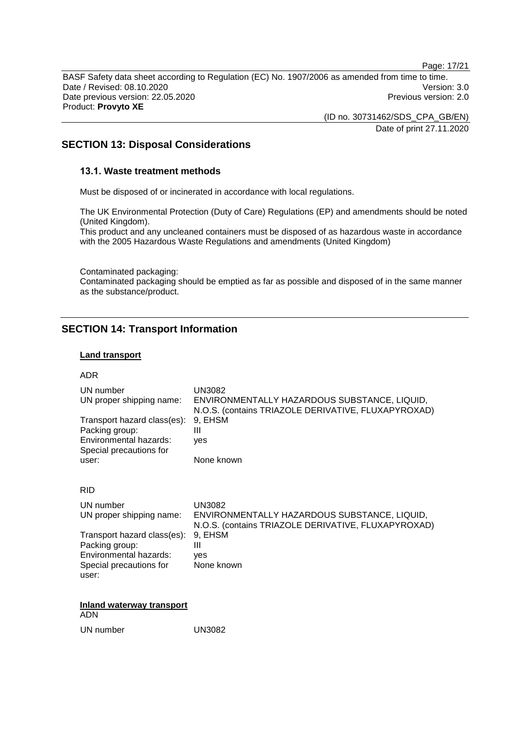Page: 17/21

BASF Safety data sheet according to Regulation (EC) No. 1907/2006 as amended from time to time. Date / Revised: 08.10.2020 Version: 3.0 Date previous version: 22.05.2020 **Previous version: 2.0** Previous version: 2.0 Product: **Provyto XE**

(ID no. 30731462/SDS\_CPA\_GB/EN)

Date of print 27.11.2020

## **SECTION 13: Disposal Considerations**

## **13.1. Waste treatment methods**

Must be disposed of or incinerated in accordance with local regulations.

The UK Environmental Protection (Duty of Care) Regulations (EP) and amendments should be noted (United Kingdom).

This product and any uncleaned containers must be disposed of as hazardous waste in accordance with the 2005 Hazardous Waste Regulations and amendments (United Kingdom)

Contaminated packaging: Contaminated packaging should be emptied as far as possible and disposed of in the same manner as the substance/product.

# **SECTION 14: Transport Information**

## **Land transport**

#### ADR

| UN number                   | UN3082                                              |
|-----------------------------|-----------------------------------------------------|
| UN proper shipping name:    | ENVIRONMENTALLY HAZARDOUS SUBSTANCE, LIQUID,        |
| Transport hazard class(es): | N.O.S. (contains TRIAZOLE DERIVATIVE, FLUXAPYROXAD) |
| Packing group:              | 9, EHSM                                             |
| Environmental hazards:      | Ш                                                   |
| Special precautions for     | ves                                                 |
| user:                       | None known                                          |
| חום                         |                                                     |

#### RID

| UN number<br>UN proper shipping name:                                                                               | UN3082<br>ENVIRONMENTALLY HAZARDOUS SUBSTANCE, LIQUID,<br>N.O.S. (contains TRIAZOLE DERIVATIVE, FLUXAPYROXAD) |
|---------------------------------------------------------------------------------------------------------------------|---------------------------------------------------------------------------------------------------------------|
| Transport hazard class(es): 9, EHSM<br>Packing group:<br>Environmental hazards:<br>Special precautions for<br>user: | Ш<br>ves<br>None known                                                                                        |

**Inland waterway transport** ADN

UN number UN3082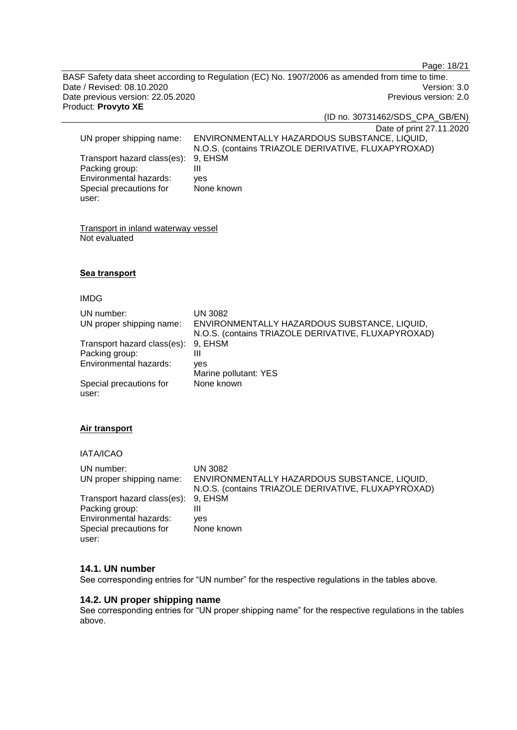Page: 18/21

BASF Safety data sheet according to Regulation (EC) No. 1907/2006 as amended from time to time. Date / Revised: 08.10.2020<br>
Date previous version: 22.05.2020<br>
Previous version: 22.05.2020 Date previous version: 22.05.2020 Product: **Provyto XE**

(ID no. 30731462/SDS\_CPA\_GB/EN)

|                                     | Date of print 27.11.2020                            |
|-------------------------------------|-----------------------------------------------------|
| UN proper shipping name:            | ENVIRONMENTALLY HAZARDOUS SUBSTANCE, LIQUID,        |
|                                     | N.O.S. (contains TRIAZOLE DERIVATIVE, FLUXAPYROXAD) |
| Transport hazard class(es): 9, EHSM |                                                     |
| Packing group:                      | Ш                                                   |
| Environmental hazards:              | ves                                                 |
| Special precautions for             | None known                                          |
| user:                               |                                                     |

Transport in inland waterway vessel Not evaluated

#### **Sea transport**

#### IMDG

| UN number:<br>UN proper shipping name:        | UN 3082<br>ENVIRONMENTALLY HAZARDOUS SUBSTANCE, LIQUID,<br>N.O.S. (contains TRIAZOLE DERIVATIVE, FLUXAPYROXAD) |
|-----------------------------------------------|----------------------------------------------------------------------------------------------------------------|
| Transport hazard class(es):<br>Packing group: | 9, EHSM<br>Ш                                                                                                   |
| Environmental hazards:                        | ves<br>Marine pollutant: YES                                                                                   |
| Special precautions for<br>user:              | None known                                                                                                     |

## **Air transport**

IATA/ICAO

| UN number:<br>UN proper shipping name: | UN 3082<br>ENVIRONMENTALLY HAZARDOUS SUBSTANCE, LIQUID,<br>N.O.S. (contains TRIAZOLE DERIVATIVE, FLUXAPYROXAD) |
|----------------------------------------|----------------------------------------------------------------------------------------------------------------|
| Transport hazard class(es): 9, EHSM    |                                                                                                                |
| Packing group:                         |                                                                                                                |
| Environmental hazards:                 | ves                                                                                                            |
| Special precautions for                | None known                                                                                                     |
| user:                                  |                                                                                                                |

#### **14.1. UN number**

See corresponding entries for "UN number" for the respective regulations in the tables above.

#### **14.2. UN proper shipping name**

See corresponding entries for "UN proper shipping name" for the respective regulations in the tables above.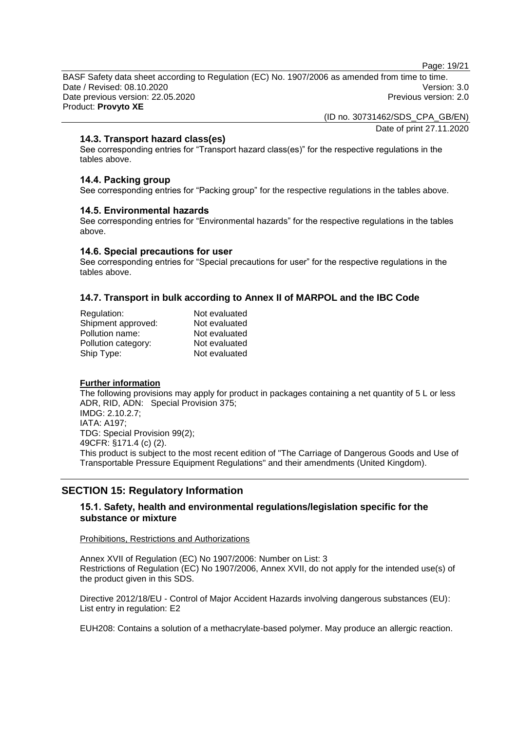Page: 19/21

BASF Safety data sheet according to Regulation (EC) No. 1907/2006 as amended from time to time. Date / Revised: 08.10.2020 Version: 3.0 Date previous version: 22.05.2020 Previous version: 2.0 Product: **Provyto XE**

(ID no. 30731462/SDS\_CPA\_GB/EN)

Date of print 27.11.2020

## **14.3. Transport hazard class(es)**

See corresponding entries for "Transport hazard class(es)" for the respective regulations in the tables above.

## **14.4. Packing group**

See corresponding entries for "Packing group" for the respective regulations in the tables above.

#### **14.5. Environmental hazards**

See corresponding entries for "Environmental hazards" for the respective regulations in the tables above.

#### **14.6. Special precautions for user**

See corresponding entries for "Special precautions for user" for the respective regulations in the tables above.

## **14.7. Transport in bulk according to Annex II of MARPOL and the IBC Code**

| Regulation:         | Not evaluated |
|---------------------|---------------|
| Shipment approved:  | Not evaluated |
| Pollution name:     | Not evaluated |
| Pollution category: | Not evaluated |
| Ship Type:          | Not evaluated |

#### **Further information**

The following provisions may apply for product in packages containing a net quantity of 5 L or less ADR, RID, ADN: Special Provision 375; IMDG: 2.10.2.7; IATA: A197; TDG: Special Provision 99(2); 49CFR: §171.4 (c) (2). This product is subject to the most recent edition of "The Carriage of Dangerous Goods and Use of Transportable Pressure Equipment Regulations" and their amendments (United Kingdom).

# **SECTION 15: Regulatory Information**

## **15.1. Safety, health and environmental regulations/legislation specific for the substance or mixture**

#### Prohibitions, Restrictions and Authorizations

Annex XVII of Regulation (EC) No 1907/2006: Number on List: 3 Restrictions of Regulation (EC) No 1907/2006, Annex XVII, do not apply for the intended use(s) of the product given in this SDS.

Directive 2012/18/EU - Control of Major Accident Hazards involving dangerous substances (EU): List entry in regulation: E2

EUH208: Contains a solution of a methacrylate-based polymer. May produce an allergic reaction.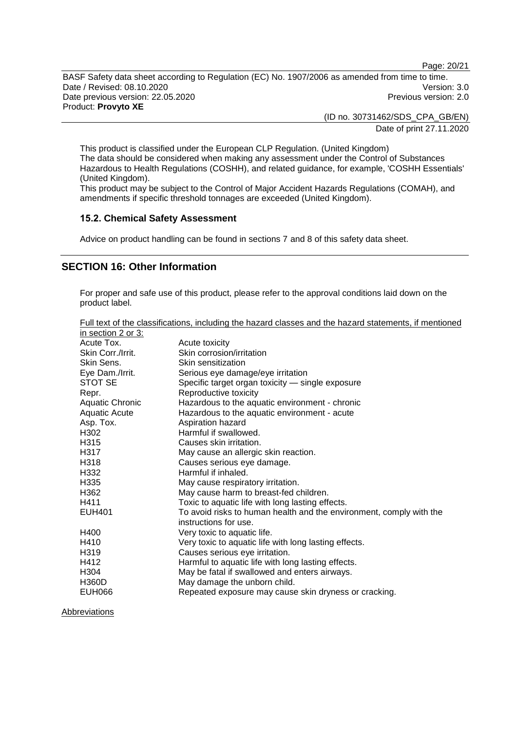Page: 20/21

BASF Safety data sheet according to Regulation (EC) No. 1907/2006 as amended from time to time. Date / Revised: 08.10.2020<br>
Date previous version: 22.05.2020<br>
Previous version: 22.05.2020 Date previous version: 22.05.2020 Product: **Provyto XE**

> (ID no. 30731462/SDS\_CPA\_GB/EN) Date of print 27.11.2020

This product is classified under the European CLP Regulation. (United Kingdom) The data should be considered when making any assessment under the Control of Substances Hazardous to Health Regulations (COSHH), and related guidance, for example, 'COSHH Essentials' (United Kingdom).

This product may be subject to the Control of Major Accident Hazards Regulations (COMAH), and amendments if specific threshold tonnages are exceeded (United Kingdom).

#### **15.2. Chemical Safety Assessment**

Advice on product handling can be found in sections 7 and 8 of this safety data sheet.

## **SECTION 16: Other Information**

For proper and safe use of this product, please refer to the approval conditions laid down on the product label.

| Full text of the classifications, including the hazard classes and the hazard statements, if mentioned |  |  |  |
|--------------------------------------------------------------------------------------------------------|--|--|--|
| in section 2 or 3:                                                                                     |  |  |  |

| in section 2 or 3:     |                                                                     |
|------------------------|---------------------------------------------------------------------|
| Acute Tox.             | Acute toxicity                                                      |
| Skin Corr./Irrit.      | Skin corrosion/irritation                                           |
| Skin Sens.             | Skin sensitization                                                  |
| Eye Dam./Irrit.        | Serious eye damage/eye irritation                                   |
| STOT SE                | Specific target organ toxicity - single exposure                    |
| Repr.                  | Reproductive toxicity                                               |
| <b>Aquatic Chronic</b> | Hazardous to the aquatic environment - chronic                      |
| <b>Aquatic Acute</b>   | Hazardous to the aquatic environment - acute                        |
| Asp. Tox.              | Aspiration hazard                                                   |
| H302                   | Harmful if swallowed.                                               |
| H <sub>315</sub>       | Causes skin irritation.                                             |
| H317                   | May cause an allergic skin reaction.                                |
| H <sub>318</sub>       | Causes serious eye damage.                                          |
| H332                   | Harmful if inhaled.                                                 |
| H <sub>335</sub>       | May cause respiratory irritation.                                   |
| H362                   | May cause harm to breast-fed children.                              |
| H411                   | Toxic to aquatic life with long lasting effects.                    |
| <b>EUH401</b>          | To avoid risks to human health and the environment, comply with the |
|                        | instructions for use.                                               |
| H400                   | Very toxic to aquatic life.                                         |
| H410                   | Very toxic to aquatic life with long lasting effects.               |
| H <sub>319</sub>       | Causes serious eye irritation.                                      |
| H412                   | Harmful to aquatic life with long lasting effects.                  |
| H304                   | May be fatal if swallowed and enters airways.                       |
| <b>H360D</b>           | May damage the unborn child.                                        |
| <b>EUH066</b>          | Repeated exposure may cause skin dryness or cracking.               |

**Abbreviations**